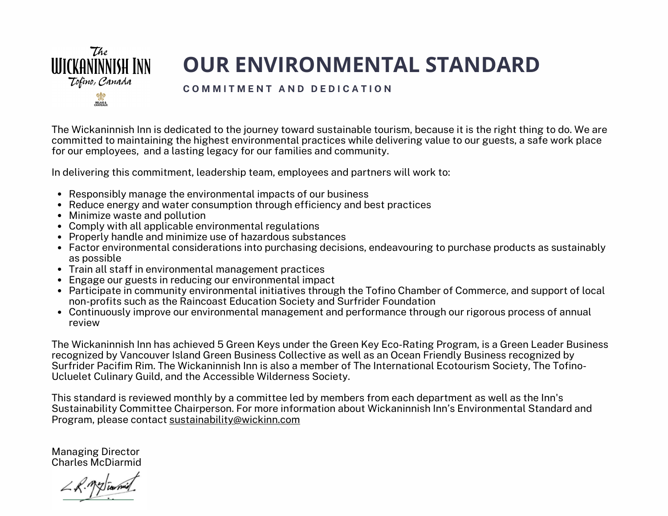

# **OUR ENVIRONMENTAL STANDARD**

#### **C O M M I T M E N T A N D D E D I C A T I O N**

The Wickaninnish Inn is dedicated to the journey toward sustainable tourism, because it is the right thing to do. We are committed to maintaining the highest environmental practices while delivering value to our guests, a safe work place for our employees, and a lasting legacy for our families and community.

In delivering this commitment, leadership team, employees and partners will work to:

- Responsibly manage the environmental impacts of our business
- Reduce energy and water consumption through efficiency and best practices
- Minimize waste and pollution
- Comply with all applicable environmental regulations
- Properly handle and minimize use of hazardous substances
- Factor environmental considerations into purchasing decisions, endeavouring to purchase products as sustainably as possible
- Train all staff in environmental management practices
- Engage our guests in reducing our environmental impact
- Participate in community environmental initiatives through the Tofino Chamber of Commerce, and support of local non-profits such as the Raincoast Education Society and Surfrider Foundation
- Continuously improve our environmental management and performance through our rigorous process of annual review

The Wickaninnish Inn has achieved 5 Green Keys under the Green Key Eco-Rating Program, is a Green Leader [Business](https://www.vigbc.ca/dining) recognized by [Vancouver](https://www.vigbc.ca/) Island Green Business Collective as well as an Ocean Friendly [Business](https://vancouverisland.surfrider.org/ocean-friendly-business/) recognized by Surfrider Pacifim Rim. The Wickaninnish Inn is also a member of The International Ecotourism Society, The Tofino-Ucluelet Culinary Guild, and the Accessible Wilderness Society.

This standard is reviewed monthly by a committee led by members from each department as well as the Inn's Sustainability Committee Chairperson. For more information about Wickaninnish Inn's Environmental Standard and Program, please contact [sustainability@wickinn.com](mailto:sustainability@wickinn.com)

Managing Director Charles McDiarmid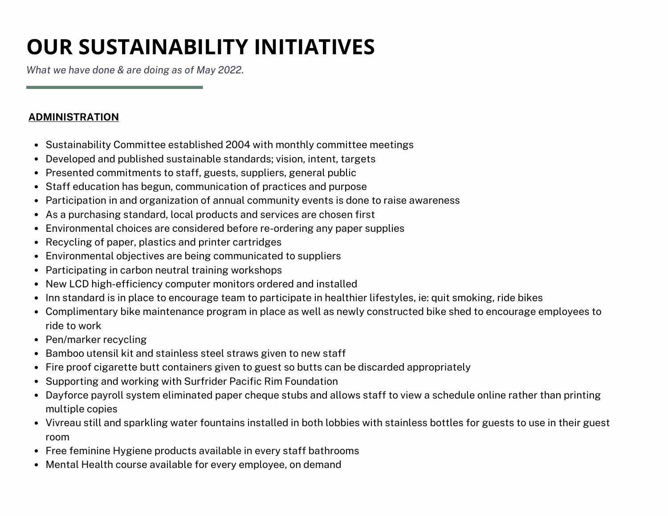# **OUR SUSTAINABILITY INITIATIVES**

*What we have done & are [doing](https://www.pacificrim.surfrider.org/) as of May 2022*.

# **ADMINISTRATION**

- Sustainability Committee established 2004 with monthly committee meetings
- Developed and published sustainable standards; vision, intent, targets
- Presented commitments to staff, guests, suppliers, general public
- Staff education has begun, communication of practices and purpose
- Participation in and organization of annual community events is done to raise awareness
- As a purchasing standard, local products and services are chosen first
- Environmental choices are considered before re-ordering any paper supplies
- Recycling of paper, plastics and printer cartridges
- Environmental objectives are being communicated to suppliers
- Participating in carbon neutral training workshops
- New LCD high-efficiency computer monitors ordered and installed
- Inn standard is in place to encourage team to participate in healthier lifestyles, ie: quit smoking, ride bikes
- Complimentary bike maintenance program in place as well as newly constructed bike shed to encourage employees to ride to work
- Pen/marker recycling
- Bamboo utensil kit and stainless steel straws given to new staff
- Fire proof cigarette butt containers given to guest so butts can be discarded appropriately
- Supporting and working with Surfrider Pacific Rim Foundation
- Dayforce payroll system eliminated paper cheque stubs and allows staff to view a schedule online rather than printing multiple copies
- Vivreau still and sparkling water fountains installed in both lobbies with stainless bottles for guests to use in their guest room
- Free feminine Hygiene products available in every staff bathrooms
- Mental Health course available for every employee, on demand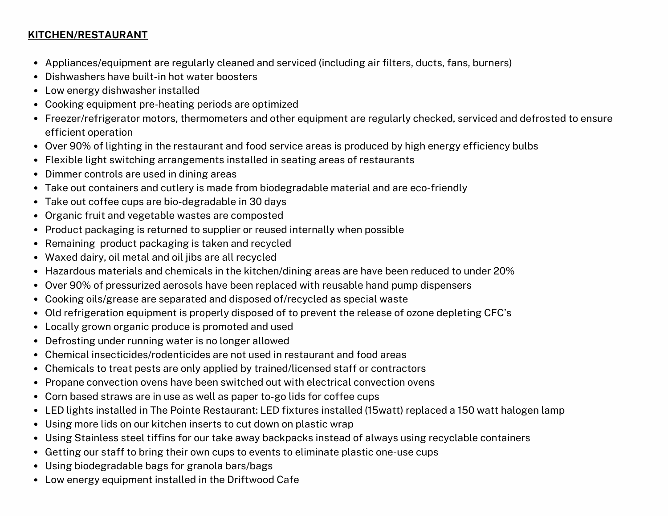### **KITCHEN/RESTAURANT**

- Appliances/equipment are regularly cleaned and serviced (including air filters, ducts, fans, burners)
- Dishwashers have built-in hot water boosters
- Low energy dishwasher installed
- Cooking equipment pre-heating periods are optimized
- Freezer/refrigerator motors, thermometers and other equipment are regularly checked, serviced and defrosted to ensure efficient operation
- Over 90% of lighting in the restaurant and food service areas is produced by high energy efficiency bulbs
- Flexible light switching arrangements installed in seating areas of restaurants
- Dimmer controls are used in dining areas
- Take out containers and cutlery is made from biodegradable material and are eco-friendly
- Take out coffee cups are bio-degradable in 30 days
- Organic fruit and vegetable wastes are composted
- Product packaging is returned to supplier or reused internally when possible
- Remaining product packaging is taken and recycled
- Waxed dairy, oil metal and oil jibs are all recycled
- Hazardous materials and chemicals in the kitchen/dining areas are have been reduced to under 20%
- Over 90% of pressurized aerosols have been replaced with reusable hand pump dispensers
- Cooking oils/grease are separated and disposed of/recycled as special waste
- Old refrigeration equipment is properly disposed of to prevent the release of ozone depleting CFC's
- Locally grown organic produce is promoted and used
- Defrosting under running water is no longer allowed
- Chemical insecticides/rodenticides are not used in restaurant and food areas
- Chemicals to treat pests are only applied by trained/licensed staff or contractors
- Propane convection ovens have been switched out with electrical convection ovens
- Corn based straws are in use as well as paper to-go lids for coffee cups
- LED lights installed in The Pointe Restaurant: LED fixtures installed (15watt) replaced a 150 watt halogen lamp
- Using more lids on our kitchen inserts to cut down on plastic wrap
- Using Stainless steel tiffins for our take away backpacks instead of always using recyclable containers
- Getting our staff to bring their own cups to events to eliminate plastic one-use cups
- Using biodegradable bags for granola bars/bags
- Low energy equipment installed in the Driftwood Cafe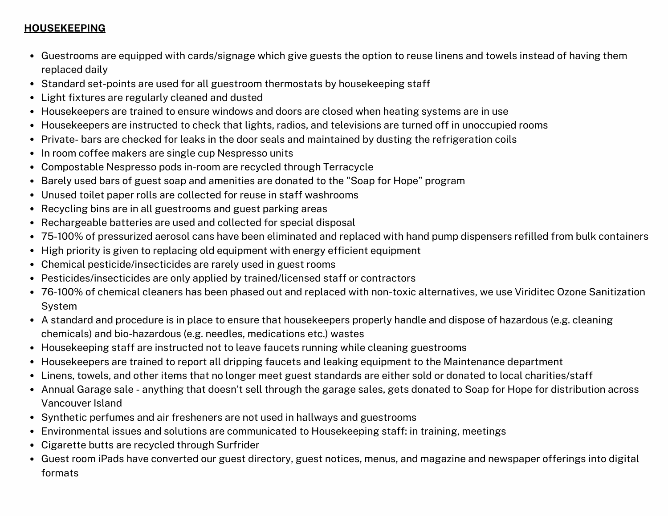# **HOUSEKEEPING**

- Guestrooms are equipped with cards/signage which give guests the option to reuse linens and towels instead of having them replaced daily
- Standard set-points are used for all guestroom thermostats by housekeeping staff
- Light fixtures are regularly cleaned and dusted
- Housekeepers are trained to ensure windows and doors are closed when heating systems are in use
- Housekeepers are instructed to check that lights, radios, and televisions are turned off in unoccupied rooms
- Private- bars are checked for leaks in the door seals and maintained by dusting the refrigeration coils
- In room coffee makers are single cup Nespresso units
- Compostable Nespresso pods in-room are recycled through Terracycle
- Barely used bars of guest soap and amenities are donated to the "Soap for Hope" program
- Unused toilet paper rolls are collected for reuse in staff washrooms
- Recycling bins are in all guestrooms and guest parking areas
- Rechargeable batteries are used and collected for special disposal
- 75-100% of pressurized aerosol cans have been eliminated and replaced with hand pump dispensers refilled from bulk containers
- High priority is given to replacing old equipment with energy efficient equipment
- Chemical pesticide/insecticides are rarely used in guest rooms
- Pesticides/insecticides are only applied by trained/licensed staff or contractors
- 76-100% of chemical cleaners has been phased out and replaced with non-toxic alternatives, we use Viriditec Ozone Sanitization System
- A standard and procedure is in place to ensure that housekeepers properly handle and dispose of hazardous (e.g. cleaning chemicals) and bio-hazardous (e.g. needles, medications etc.) wastes
- Housekeeping staff are instructed not to leave faucets running while cleaning guestrooms
- Housekeepers are trained to report all dripping faucets and leaking equipment to the Maintenance department
- Linens, towels, and other items that no longer meet guest standards are either sold or donated to local charities/staff
- Annual Garage sale anything that doesn't sell through the garage sales, gets donated to Soap for Hope for distribution across Vancouver Island
- Synthetic perfumes and air fresheners are not used in hallways and guestrooms
- Environmental issues and solutions are communicated to Housekeeping staff: in training, meetings
- Cigarette butts are recycled through Surfrider
- Guest room iPads have converted our guest directory, guest notices, menus, and magazine and newspaper offerings into digital formats